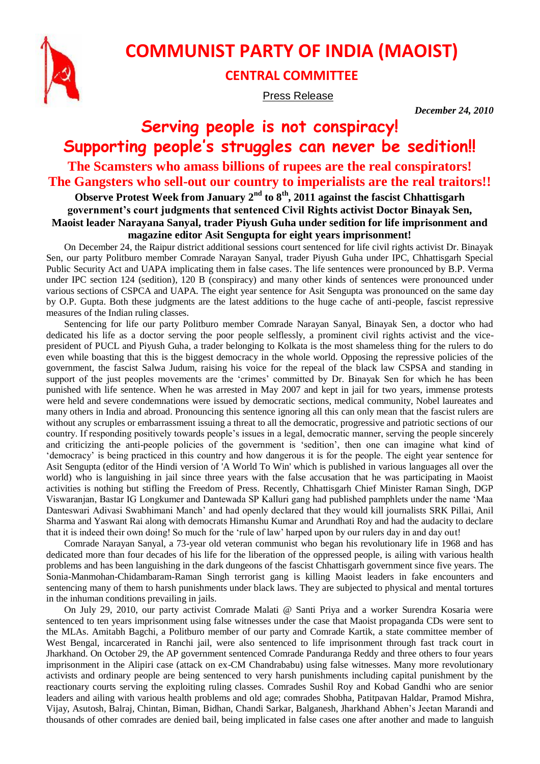

## **COMMUNIST PARTY OF INDIA (MAOIST)**

## **CENTRAL COMMITTEE**

Press Release

*December 24, 2010*

## **Serving people is not conspiracy! Supporting people's struggles can never be sedition!! The Scamsters who amass billions of rupees are the real conspirators! The Gangsters who sell-out our country to imperialists are the real traitors!!**

## **Observe Protest Week from January 2nd to 8th, 2011 against the fascist Chhattisgarh government's court judgments that sentenced Civil Rights activist Doctor Binayak Sen, Maoist leader Narayana Sanyal, trader Piyush Guha under sedition for life imprisonment and magazine editor Asit Sengupta for eight years imprisonment!**

On December 24, the Raipur district additional sessions court sentenced for life civil rights activist Dr. Binayak Sen, our party Politburo member Comrade Narayan Sanyal, trader Piyush Guha under IPC, Chhattisgarh Special Public Security Act and UAPA implicating them in false cases. The life sentences were pronounced by B.P. Verma under IPC section 124 (sedition), 120 B (conspiracy) and many other kinds of sentences were pronounced under various sections of CSPCA and UAPA. The eight year sentence for Asit Sengupta was pronounced on the same day by O.P. Gupta. Both these judgments are the latest additions to the huge cache of anti-people, fascist repressive measures of the Indian ruling classes.

Sentencing for life our party Politburo member Comrade Narayan Sanyal, Binayak Sen, a doctor who had dedicated his life as a doctor serving the poor people selflessly, a prominent civil rights activist and the vicepresident of PUCL and Piyush Guha, a trader belonging to Kolkata is the most shameless thing for the rulers to do even while boasting that this is the biggest democracy in the whole world. Opposing the repressive policies of the government, the fascist Salwa Judum, raising his voice for the repeal of the black law CSPSA and standing in support of the just peoples movements are the 'crimes' committed by Dr. Binayak Sen for which he has been punished with life sentence. When he was arrested in May 2007 and kept in jail for two years, immense protests were held and severe condemnations were issued by democratic sections, medical community, Nobel laureates and many others in India and abroad. Pronouncing this sentence ignoring all this can only mean that the fascist rulers are without any scruples or embarrassment issuing a threat to all the democratic, progressive and patriotic sections of our country. If responding positively towards people's issues in a legal, democratic manner, serving the people sincerely and criticizing the anti-people policies of the government is 'sedition', then one can imagine what kind of 'democracy' is being practiced in this country and how dangerous it is for the people. The eight year sentence for Asit Sengupta (editor of the Hindi version of 'A World To Win' which is published in various languages all over the world) who is languishing in jail since three years with the false accusation that he was participating in Maoist activities is nothing but stifling the Freedom of Press. Recently, Chhattisgarh Chief Minister Raman Singh, DGP Viswaranjan, Bastar IG Longkumer and Dantewada SP Kalluri gang had published pamphlets under the name 'Maa Danteswari Adivasi Swabhimani Manch' and had openly declared that they would kill journalists SRK Pillai, Anil Sharma and Yaswant Rai along with democrats Himanshu Kumar and Arundhati Roy and had the audacity to declare that it is indeed their own doing! So much for the 'rule of law' harped upon by our rulers day in and day out!

Comrade Narayan Sanyal, a 73-year old veteran communist who began his revolutionary life in 1968 and has dedicated more than four decades of his life for the liberation of the oppressed people, is ailing with various health problems and has been languishing in the dark dungeons of the fascist Chhattisgarh government since five years. The Sonia-Manmohan-Chidambaram-Raman Singh terrorist gang is killing Maoist leaders in fake encounters and sentencing many of them to harsh punishments under black laws. They are subjected to physical and mental tortures in the inhuman conditions prevailing in jails.

On July 29, 2010, our party activist Comrade Malati @ Santi Priya and a worker Surendra Kosaria were sentenced to ten years imprisonment using false witnesses under the case that Maoist propaganda CDs were sent to the MLAs. Amitabh Bagchi, a Politburo member of our party and Comrade Kartik, a state committee member of West Bengal, incarcerated in Ranchi jail, were also sentenced to life imprisonment through fast track court in Jharkhand. On October 29, the AP government sentenced Comrade Panduranga Reddy and three others to four years imprisonment in the Alipiri case (attack on ex-CM Chandrababu) using false witnesses. Many more revolutionary activists and ordinary people are being sentenced to very harsh punishments including capital punishment by the reactionary courts serving the exploiting ruling classes. Comrades Sushil Roy and Kobad Gandhi who are senior leaders and ailing with various health problems and old age; comrades Shobha, Patitpavan Haldar, Pramod Mishra, Vijay, Asutosh, Balraj, Chintan, Biman, Bidhan, Chandi Sarkar, Balganesh, Jharkhand Abhen's Jeetan Marandi and thousands of other comrades are denied bail, being implicated in false cases one after another and made to languish